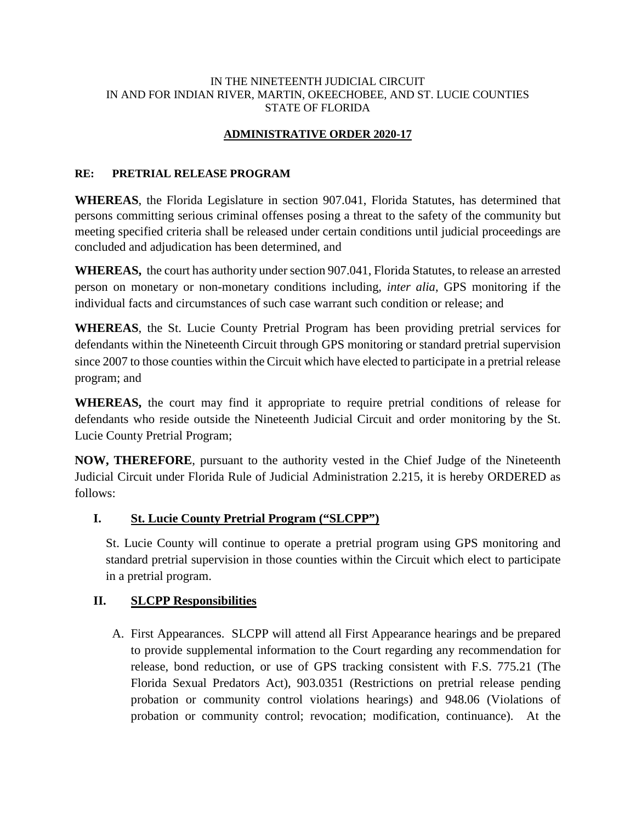#### IN THE NINETEENTH JUDICIAL CIRCUIT IN AND FOR INDIAN RIVER, MARTIN, OKEECHOBEE, AND ST. LUCIE COUNTIES STATE OF FLORIDA

# **ADMINISTRATIVE ORDER 2020-17**

#### **RE: PRETRIAL RELEASE PROGRAM**

**WHEREAS**, the Florida Legislature in section 907.041, Florida Statutes, has determined that persons committing serious criminal offenses posing a threat to the safety of the community but meeting specified criteria shall be released under certain conditions until judicial proceedings are concluded and adjudication has been determined, and

**WHEREAS,** the court has authority under section 907.041, Florida Statutes, to release an arrested person on monetary or non-monetary conditions including, *inter alia*, GPS monitoring if the individual facts and circumstances of such case warrant such condition or release; and

**WHEREAS**, the St. Lucie County Pretrial Program has been providing pretrial services for defendants within the Nineteenth Circuit through GPS monitoring or standard pretrial supervision since 2007 to those counties within the Circuit which have elected to participate in a pretrial release program; and

**WHEREAS,** the court may find it appropriate to require pretrial conditions of release for defendants who reside outside the Nineteenth Judicial Circuit and order monitoring by the St. Lucie County Pretrial Program;

**NOW, THEREFORE**, pursuant to the authority vested in the Chief Judge of the Nineteenth Judicial Circuit under Florida Rule of Judicial Administration 2.215, it is hereby ORDERED as follows:

## **I. St. Lucie County Pretrial Program ("SLCPP")**

St. Lucie County will continue to operate a pretrial program using GPS monitoring and standard pretrial supervision in those counties within the Circuit which elect to participate in a pretrial program.

## **II. SLCPP Responsibilities**

A. First Appearances. SLCPP will attend all First Appearance hearings and be prepared to provide supplemental information to the Court regarding any recommendation for release, bond reduction, or use of GPS tracking consistent with F.S. 775.21 (The Florida Sexual Predators Act), 903.0351 (Restrictions on pretrial release pending probation or community control violations hearings) and 948.06 (Violations of probation or community control; revocation; modification, continuance). At the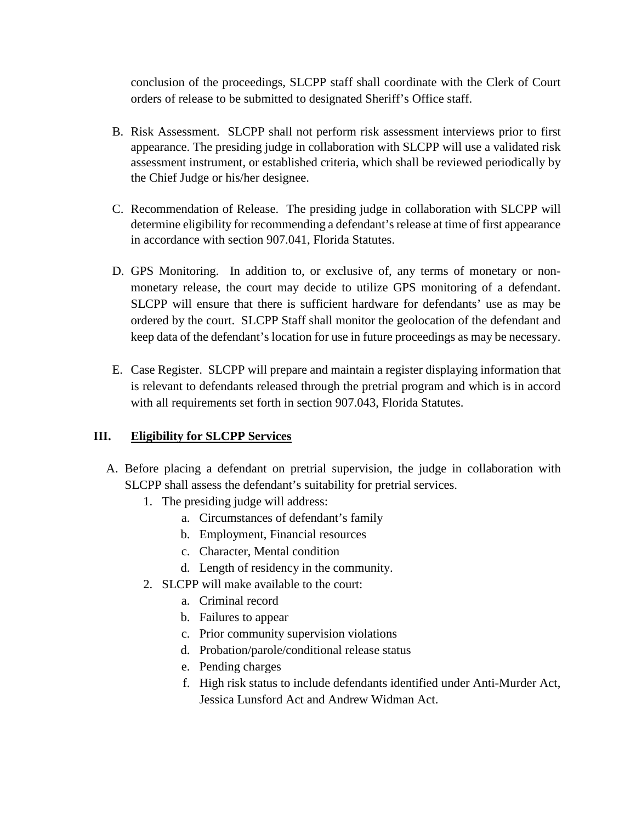conclusion of the proceedings, SLCPP staff shall coordinate with the Clerk of Court orders of release to be submitted to designated Sheriff's Office staff.

- B. Risk Assessment. SLCPP shall not perform risk assessment interviews prior to first appearance. The presiding judge in collaboration with SLCPP will use a validated risk assessment instrument, or established criteria, which shall be reviewed periodically by the Chief Judge or his/her designee.
- C. Recommendation of Release. The presiding judge in collaboration with SLCPP will determine eligibility for recommending a defendant's release at time of first appearance in accordance with section 907.041, Florida Statutes.
- D. GPS Monitoring. In addition to, or exclusive of, any terms of monetary or nonmonetary release, the court may decide to utilize GPS monitoring of a defendant. SLCPP will ensure that there is sufficient hardware for defendants' use as may be ordered by the court. SLCPP Staff shall monitor the geolocation of the defendant and keep data of the defendant's location for use in future proceedings as may be necessary.
- E. Case Register. SLCPP will prepare and maintain a register displaying information that is relevant to defendants released through the pretrial program and which is in accord with all requirements set forth in section 907.043, Florida Statutes.

## **III. Eligibility for SLCPP Services**

- A. Before placing a defendant on pretrial supervision, the judge in collaboration with SLCPP shall assess the defendant's suitability for pretrial services.
	- 1. The presiding judge will address:
		- a. Circumstances of defendant's family
		- b. Employment, Financial resources
		- c. Character, Mental condition
		- d. Length of residency in the community.
	- 2. SLCPP will make available to the court:
		- a. Criminal record
		- b. Failures to appear
		- c. Prior community supervision violations
		- d. Probation/parole/conditional release status
		- e. Pending charges
		- f. High risk status to include defendants identified under Anti-Murder Act, Jessica Lunsford Act and Andrew Widman Act.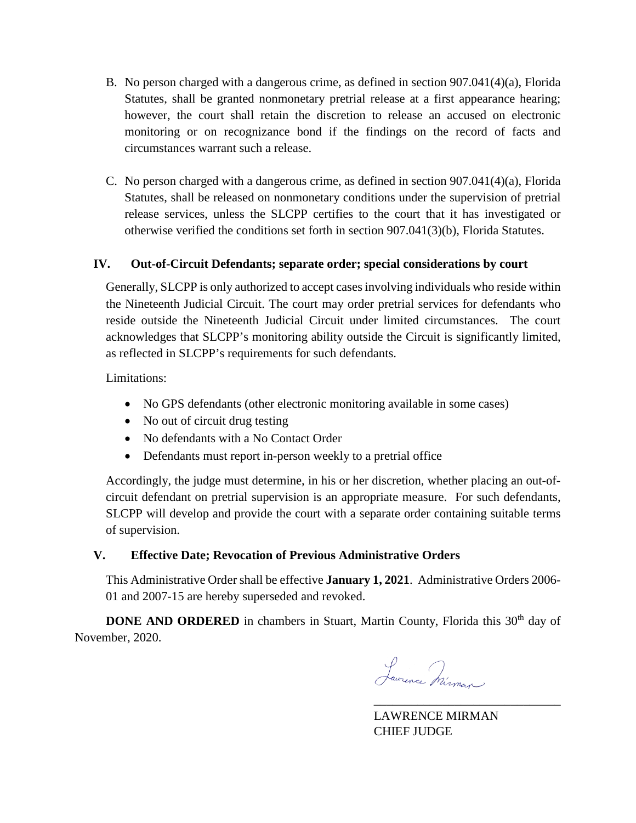- B. No person charged with a dangerous crime, as defined in section 907.041(4)(a), Florida Statutes, shall be granted nonmonetary pretrial release at a first appearance hearing; however, the court shall retain the discretion to release an accused on electronic monitoring or on recognizance bond if the findings on the record of facts and circumstances warrant such a release.
- C. No person charged with a dangerous crime, as defined in section 907.041(4)(a), Florida Statutes, shall be released on nonmonetary conditions under the supervision of pretrial release services, unless the SLCPP certifies to the court that it has investigated or otherwise verified the conditions set forth in section 907.041(3)(b), Florida Statutes.

#### **IV. Out-of-Circuit Defendants; separate order; special considerations by court**

Generally, SLCPP is only authorized to accept cases involving individuals who reside within the Nineteenth Judicial Circuit. The court may order pretrial services for defendants who reside outside the Nineteenth Judicial Circuit under limited circumstances. The court acknowledges that SLCPP's monitoring ability outside the Circuit is significantly limited, as reflected in SLCPP's requirements for such defendants.

Limitations:

- No GPS defendants (other electronic monitoring available in some cases)
- No out of circuit drug testing
- No defendants with a No Contact Order
- Defendants must report in-person weekly to a pretrial office

Accordingly, the judge must determine, in his or her discretion, whether placing an out-ofcircuit defendant on pretrial supervision is an appropriate measure. For such defendants, SLCPP will develop and provide the court with a separate order containing suitable terms of supervision.

## **V. Effective Date; Revocation of Previous Administrative Orders**

This Administrative Order shall be effective **January 1, 2021**. Administrative Orders 2006- 01 and 2007-15 are hereby superseded and revoked.

**DONE AND ORDERED** in chambers in Stuart, Martin County, Florida this 30<sup>th</sup> day of November, 2020.

Laurence Mirman

LAWRENCE MIRMAN CHIEF JUDGE

\_\_\_\_\_\_\_\_\_\_\_\_\_\_\_\_\_\_\_\_\_\_\_\_\_\_\_\_\_\_